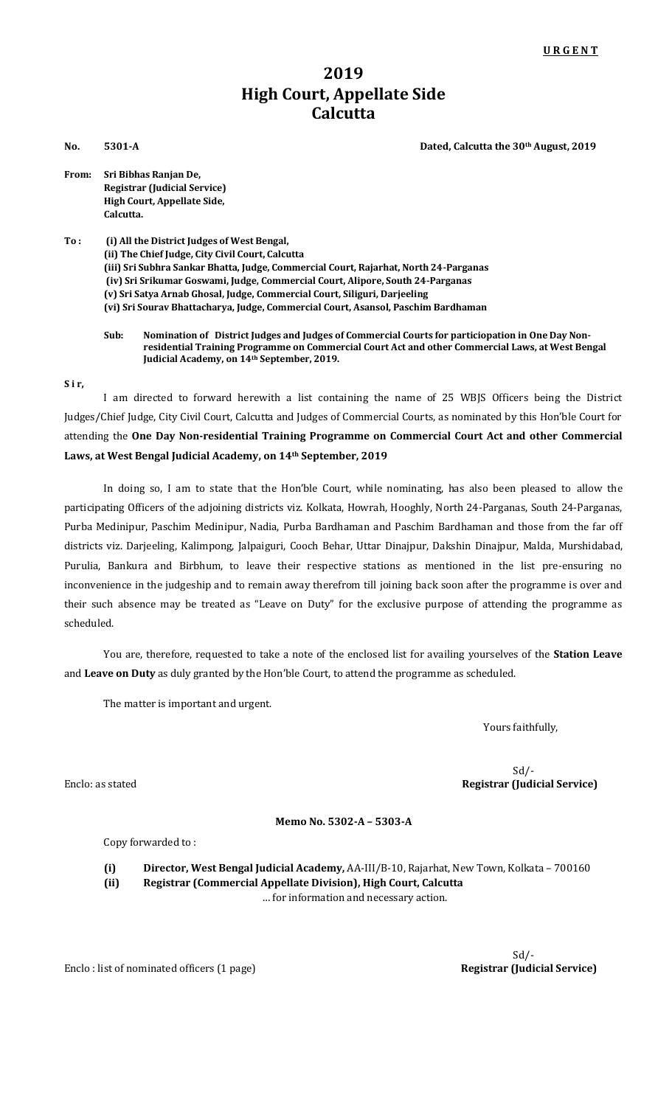## **2019 High Court, Appellate Side Calcutta**

**No.** 5301-A Dated, Calcutta the 30<sup>th</sup> August, 2019

| From: | Sri Bibhas Ranjan De,               |
|-------|-------------------------------------|
|       | <b>Registrar (Judicial Service)</b> |
|       | High Court, Appellate Side,         |
|       | Calcutta.                           |

**To : (i) All the District Judges of West Bengal, (ii) The Chief Judge, City Civil Court, Calcutta (iii) Sri Subhra Sankar Bhatta, Judge, Commercial Court, Rajarhat, North 24-Parganas (iv) Sri Srikumar Goswami, Judge, Commercial Court, Alipore, South 24-Parganas (v) Sri Satya Arnab Ghosal, Judge, Commercial Court, Siliguri, Darjeeling (vi) Sri Sourav Bhattacharya, Judge, Commercial Court, Asansol, Paschim Bardhaman**

**Sub: Nomination of District Judges and Judges of Commercial Courts for particiopation in One Day Nonresidential Training Programme on Commercial Court Act and other Commercial Laws, at West Bengal Judicial Academy, on 14th September, 2019.**

## **S i r,**

I am directed to forward herewith a list containing the name of 25 WBJS Officers being the District Judges/Chief Judge, City Civil Court, Calcutta and Judges of Commercial Courts, as nominated by this Hon'ble Court for attending the **One Day Non-residential Training Programme on Commercial Court Act and other Commercial Laws, at West Bengal Judicial Academy, on 14th September, 2019**

In doing so, I am to state that the Hon'ble Court, while nominating, has also been pleased to allow the participating Officers of the adjoining districts viz. Kolkata, Howrah, Hooghly, North 24-Parganas, South 24-Parganas, Purba Medinipur, Paschim Medinipur, Nadia, Purba Bardhaman and Paschim Bardhaman and those from the far off districts viz. Darjeeling, Kalimpong, Jalpaiguri, Cooch Behar, Uttar Dinajpur, Dakshin Dinajpur, Malda, Murshidabad, Purulia, Bankura and Birbhum, to leave their respective stations as mentioned in the list pre-ensuring no inconvenience in the judgeship and to remain away therefrom till joining back soon after the programme is over and their such absence may be treated as "Leave on Duty" for the exclusive purpose of attending the programme as scheduled.

You are, therefore, requested to take a note of the enclosed list for availing yourselves of the **Station Leave** and **Leave on Duty** as duly granted by the Hon'ble Court, to attend the programme as scheduled.

The matter is important and urgent.

Yours faithfully,

 Sd/- Enclo: as stated **Registrar (Judicial Service)**

## **Memo No. 5302-A – 5303-A**

Copy forwarded to :

**(i) Director, West Bengal Judicial Academy,** AA-III/B-10, Rajarhat, New Town, Kolkata – 700160 **(ii) Registrar (Commercial Appellate Division), High Court, Calcutta**

… for information and necessary action.

Enclo : list of nominated officers (1 page) **Registrar (Judicial Service)** Registrar (Indicial Service)